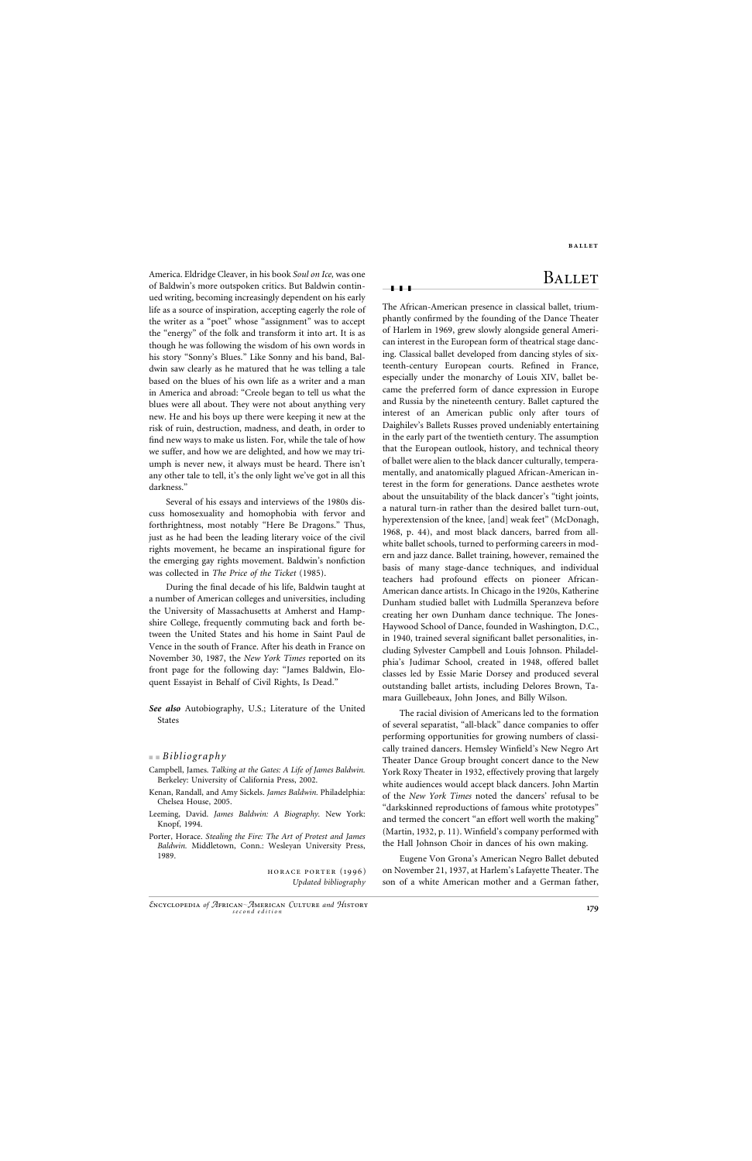America. Eldridge Cleaver, in his book *Soul on Ice,* was one of Baldwin's more outspoken critics. But Baldwin continued writing, becoming increasingly dependent on his early life as a source of inspiration, accepting eagerly the role of the writer as a "poet" whose "assignment" was to accept the "energy" of the folk and transform it into art. It is as though he was following the wisdom of his own words in his story "Sonny's Blues." Like Sonny and his band, Baldwin saw clearly as he matured that he was telling a tale based on the blues of his own life as a writer and a man in America and abroad: "Creole began to tell us what the blues were all about. They were not about anything very new. He and his boys up there were keeping it new at the risk of ruin, destruction, madness, and death, in order to find new ways to make us listen. For, while the tale of how we suffer, and how we are delighted, and how we may triumph is never new, it always must be heard. There isn't any other tale to tell, it's the only light we've got in all this darkness."

Several of his essays and interviews of the 1980s discuss homosexuality and homophobia with fervor and forthrightness, most notably "Here Be Dragons." Thus, just as he had been the leading literary voice of the civil rights movement, he became an inspirational figure for the emerging gay rights movement. Baldwin's nonfiction was collected in *The Price of the Ticket* (1985).

During the final decade of his life, Baldwin taught at a number of American colleges and universities, including the University of Massachusetts at Amherst and Hampshire College, frequently commuting back and forth between the United States and his home in Saint Paul de Vence in the south of France. After his death in France on November 30, 1987, the *New York Times* reported on its front page for the following day: "James Baldwin, Eloquent Essayist in Behalf of Civil Rights, Is Dead."

*See also* Autobiography, U.S.; Literature of the United States

## ■ ■ *Bibliography*

- Campbell, James. *Talking at the Gates: A Life of James Baldwin.* Berkeley: University of California Press, 2002.
- Kenan, Randall, and Amy Sickels. *James Baldwin.* Philadelphia: Chelsea House, 2005.
- Leeming, David. *James Baldwin: A Biography.* New York: Knopf, 1994.
- Porter, Horace. *Stealing the Fire: The Art of Protest and James Baldwin.* Middletown, Conn.: Wesleyan University Press,

1989.

horace porter (1996) *Updated bibliography*

# Ballet

The African-American presence in classical ballet, triumphantly confirmed by the founding of the Dance Theater of Harlem in 1969, grew slowly alongside general American interest in the European form of theatrical stage dancing. Classical ballet developed from dancing styles of sixteenth-century European courts. Refined in France, especially under the monarchy of Louis XIV, ballet became the preferred form of dance expression in Europe and Russia by the nineteenth century. Ballet captured the interest of an American public only after tours of Daighilev's Ballets Russes proved undeniably entertaining in the early part of the twentieth century. The assumption that the European outlook, history, and technical theory of ballet were alien to the black dancer culturally, temperamentally, and anatomically plagued African-American interest in the form for generations. Dance aesthetes wrote about the unsuitability of the black dancer's "tight joints, a natural turn-in rather than the desired ballet turn-out, hyperextension of the knee, [and] weak feet" (McDonagh, 1968, p. 44), and most black dancers, barred from allwhite ballet schools, turned to performing careers in modern and jazz dance. Ballet training, however, remained the basis of many stage-dance techniques, and individual teachers had profound effects on pioneer African-American dance artists. In Chicago in the 1920s, Katherine Dunham studied ballet with Ludmilla Speranzeva before creating her own Dunham dance technique. The Jones-Haywood School of Dance, founded in Washington, D.C., in 1940, trained several significant ballet personalities, including Sylvester Campbell and Louis Johnson. Philadelphia's Judimar School, created in 1948, offered ballet classes led by Essie Marie Dorsey and produced several outstanding ballet artists, including Delores Brown, Tamara Guillebeaux, John Jones, and Billy Wilson.

 $\rightarrow$ 

The racial division of Americans led to the formation of several separatist, "all-black" dance companies to offer performing opportunities for growing numbers of classically trained dancers. Hemsley Winfield's New Negro Art Theater Dance Group brought concert dance to the New York Roxy Theater in 1932, effectively proving that largely white audiences would accept black dancers. John Martin of the *New York Times* noted the dancers' refusal to be "darkskinned reproductions of famous white prototypes" and termed the concert "an effort well worth the making" (Martin, 1932, p. 11). Winfield's company performed with the Hall Johnson Choir in dances of his own making.

Eugene Von Grona's American Negro Ballet debuted on November 21, 1937, at Harlem's Lafayette Theater. The son of a white American mother and a German father,

**ballet**

*<sup>E</sup>*ncyclopedia *of <sup>A</sup>*frican*A*merican *<sup>C</sup>*ulture *and <sup>H</sup>*istory **<sup>179</sup>** *second edition*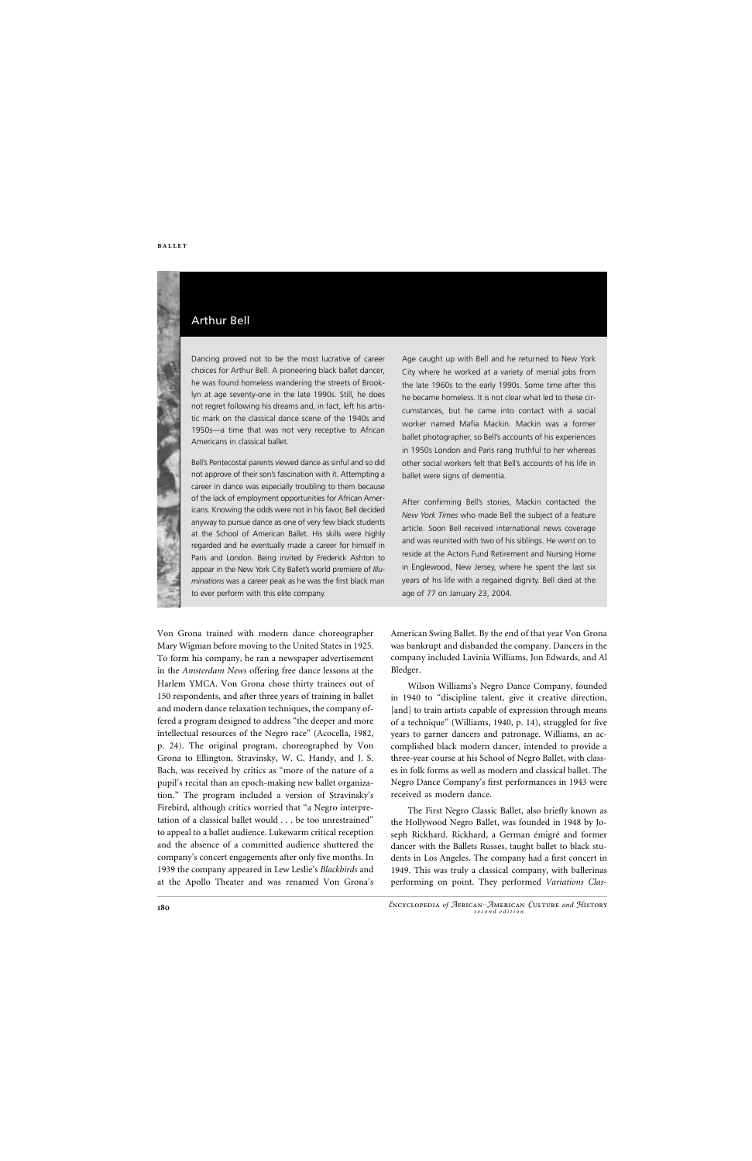Dancing proved not to be the most lucrative of career choices for Arthur Bell. A pioneering black ballet dancer, he was found homeless wandering the streets of Brooklyn at age seventy-one in the late 1990s. Still, he does not regret following his dreams and, in fact, left his artistic mark on the classical dance scene of the 1940s and 1950s—a time that was not very receptive to African Americans in classical ballet.

Bell's Pentecostal parents viewed dance as sinful and so did not approve of their son's fascination with it. Attempting a career in dance was especially troubling to them because of the lack of employment opportunities for African Americans. Knowing the odds were not in his favor, Bell decided anyway to pursue dance as one of very few black students at the School of American Ballet. His skills were highly regarded and he eventually made a career for himself in Paris and London. Being invited by Frederick Ashton to appear in the New York City Ballet's world premiere of *Illuminations* was a career peak as he was the first black man to ever perform with this elite company.

Age caught up with Bell and he returned to New York City where he worked at a variety of menial jobs from the late 1960s to the early 1990s. Some time after this he became homeless. It is not clear what led to these circumstances, but he came into contact with a social worker named Mafia Mackin. Mackin was a former ballet photographer, so Bell's accounts of his experiences in 1950s London and Paris rang truthful to her whereas other social workers felt that Bell's accounts of his life in ballet were signs of dementia.

After confirming Bell's stories, Mackin contacted the *New York Times* who made Bell the subject of a feature article. Soon Bell received international news coverage and was reunited with two of his siblings. He went on to reside at the Actors Fund Retirement and Nursing Home in Englewood, New Jersey, where he spent the last six years of his life with a regained dignity. Bell died at the age of 77 on January 23, 2004.

# Arthur Bell

Von Grona trained with modern dance choreographer Mary Wigman before moving to the United States in 1925. To form his company, he ran a newspaper advertisement in the *Amsterdam News* offering free dance lessons at the Harlem YMCA. Von Grona chose thirty trainees out of 150 respondents, and after three years of training in ballet and modern dance relaxation techniques, the company offered a program designed to address "the deeper and more intellectual resources of the Negro race" (Acocella, 1982, p. 24). The original program, choreographed by Von Grona to Ellington, Stravinsky, W. C. Handy, and J. S. Bach, was received by critics as "more of the nature of a pupil's recital than an epoch-making new ballet organization." The program included a version of Stravinsky's Firebird, although critics worried that "a Negro interpretation of a classical ballet would . . . be too unrestrained" to appeal to a ballet audience. Lukewarm critical reception and the absence of a committed audience shuttered the

company's concert engagements after only five months. In 1939 the company appeared in Lew Leslie's *Blackbirds* and at the Apollo Theater and was renamed Von Grona's

American Swing Ballet. By the end of that year Von Grona was bankrupt and disbanded the company. Dancers in the company included Lavinia Williams, Jon Edwards, and Al Bledger.

Wilson Williams's Negro Dance Company, founded in 1940 to "discipline talent, give it creative direction, [and] to train artists capable of expression through means of a technique" (Williams, 1940, p. 14), struggled for five years to garner dancers and patronage. Williams, an accomplished black modern dancer, intended to provide a three-year course at his School of Negro Ballet, with classes in folk forms as well as modern and classical ballet. The Negro Dance Company's first performances in 1943 were received as modern dance.

The First Negro Classic Ballet, also briefly known as the Hollywood Negro Ballet, was founded in 1948 by Joseph Rickhard. Rickhard, a German émigré and former dancer with the Ballets Russes, taught ballet to black students in Los Angeles. The company had a first concert in 1949. This was truly a classical company, with ballerinas performing on point. They performed *Variations Clas-*

#### **ballet**

*<sup>E</sup>*ncyclopedia *of <sup>A</sup>*frican*A*merican *<sup>C</sup>*ulture *and <sup>H</sup>*istory **<sup>180</sup>** *second edition*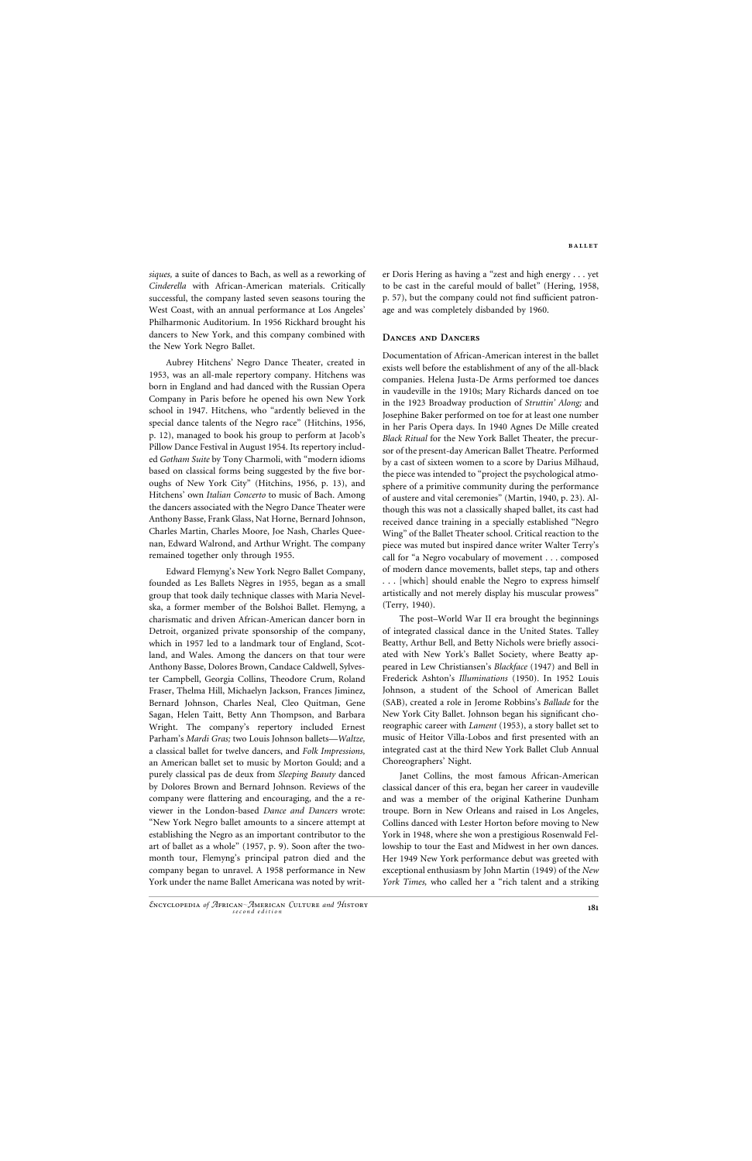*siques,* a suite of dances to Bach, as well as a reworking of *Cinderella* with African-American materials. Critically successful, the company lasted seven seasons touring the West Coast, with an annual performance at Los Angeles' Philharmonic Auditorium. In 1956 Rickhard brought his dancers to New York, and this company combined with the New York Negro Ballet.

Aubrey Hitchens' Negro Dance Theater, created in 1953, was an all-male repertory company. Hitchens was born in England and had danced with the Russian Opera Company in Paris before he opened his own New York school in 1947. Hitchens, who "ardently believed in the special dance talents of the Negro race" (Hitchins, 1956, p. 12), managed to book his group to perform at Jacob's Pillow Dance Festival in August 1954. Its repertory included *Gotham Suite* by Tony Charmoli, with "modern idioms based on classical forms being suggested by the five boroughs of New York City" (Hitchins, 1956, p. 13), and Hitchens' own *Italian Concerto* to music of Bach. Among the dancers associated with the Negro Dance Theater were Anthony Basse, Frank Glass, Nat Horne, Bernard Johnson, Charles Martin, Charles Moore, Joe Nash, Charles Queenan, Edward Walrond, and Arthur Wright. The company remained together only through 1955.

Edward Flemyng's New York Negro Ballet Company, founded as Les Ballets Nègres in 1955, began as a small group that took daily technique classes with Maria Nevelska, a former member of the Bolshoi Ballet. Flemyng, a charismatic and driven African-American dancer born in Detroit, organized private sponsorship of the company, which in 1957 led to a landmark tour of England, Scotland, and Wales. Among the dancers on that tour were Anthony Basse, Dolores Brown, Candace Caldwell, Sylvester Campbell, Georgia Collins, Theodore Crum, Roland Fraser, Thelma Hill, Michaelyn Jackson, Frances Jiminez, Bernard Johnson, Charles Neal, Cleo Quitman, Gene Sagan, Helen Taitt, Betty Ann Thompson, and Barbara Wright. The company's repertory included Ernest Parham's *Mardi Gras;* two Louis Johnson ballets—*Waltze,* a classical ballet for twelve dancers, and *Folk Impressions,* an American ballet set to music by Morton Gould; and a purely classical pas de deux from *Sleeping Beauty* danced by Dolores Brown and Bernard Johnson. Reviews of the company were flattering and encouraging, and the a reviewer in the London-based *Dance and Dancers* wrote: "New York Negro ballet amounts to a sincere attempt at establishing the Negro as an important contributor to the art of ballet as a whole" (1957, p. 9). Soon after the two-

month tour, Flemyng's principal patron died and the company began to unravel. A 1958 performance in New York under the name Ballet Americana was noted by writer Doris Hering as having a "zest and high energy . . . yet to be cast in the careful mould of ballet" (Hering, 1958, p. 57), but the company could not find sufficient patronage and was completely disbanded by 1960.

### **Dances and Dancers**

Documentation of African-American interest in the ballet exists well before the establishment of any of the all-black companies. Helena Justa-De Arms performed toe dances in vaudeville in the 1910s; Mary Richards danced on toe in the 1923 Broadway production of *Struttin' Along;* and Josephine Baker performed on toe for at least one number in her Paris Opera days. In 1940 Agnes De Mille created *Black Ritual* for the New York Ballet Theater, the precursor of the present-day American Ballet Theatre. Performed by a cast of sixteen women to a score by Darius Milhaud, the piece was intended to "project the psychological atmosphere of a primitive community during the performance of austere and vital ceremonies" (Martin, 1940, p. 23). Although this was not a classically shaped ballet, its cast had received dance training in a specially established "Negro Wing" of the Ballet Theater school. Critical reaction to the piece was muted but inspired dance writer Walter Terry's call for "a Negro vocabulary of movement . . . composed of modern dance movements, ballet steps, tap and others . . . [which] should enable the Negro to express himself artistically and not merely display his muscular prowess" (Terry, 1940).

The post–World War II era brought the beginnings of integrated classical dance in the United States. Talley Beatty, Arthur Bell, and Betty Nichols were briefly associated with New York's Ballet Society, where Beatty appeared in Lew Christiansen's *Blackface* (1947) and Bell in Frederick Ashton's *Illuminations* (1950). In 1952 Louis Johnson, a student of the School of American Ballet (SAB), created a role in Jerome Robbins's *Ballade* for the New York City Ballet. Johnson began his significant choreographic career with *Lament* (1953), a story ballet set to music of Heitor Villa-Lobos and first presented with an integrated cast at the third New York Ballet Club Annual Choreographers' Night.

Janet Collins, the most famous African-American classical dancer of this era, began her career in vaudeville and was a member of the original Katherine Dunham troupe. Born in New Orleans and raised in Los Angeles, Collins danced with Lester Horton before moving to New York in 1948, where she won a prestigious Rosenwald Fellowship to tour the East and Midwest in her own dances.

Her 1949 New York performance debut was greeted with exceptional enthusiasm by John Martin (1949) of the *New York Times,* who called her a "rich talent and a striking

#### **ballet**

*<sup>E</sup>*ncyclopedia *of <sup>A</sup>*frican*A*merican *<sup>C</sup>*ulture *and <sup>H</sup>*istory **<sup>181</sup>** *second edition*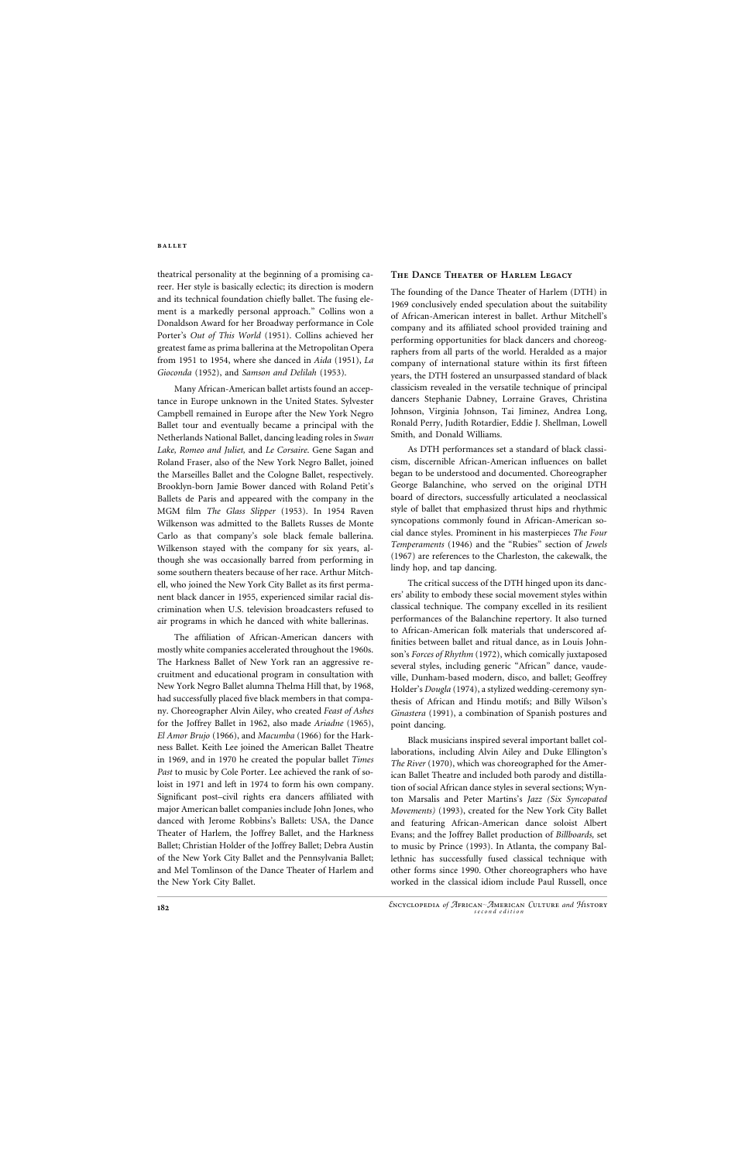theatrical personality at the beginning of a promising career. Her style is basically eclectic; its direction is modern and its technical foundation chiefly ballet. The fusing element is a markedly personal approach." Collins won a Donaldson Award for her Broadway performance in Cole Porter's *Out of This World* (1951). Collins achieved her greatest fame as prima ballerina at the Metropolitan Opera from 1951 to 1954, where she danced in *Aida* (1951), *La Gioconda* (1952), and *Samson and Delilah* (1953).

Many African-American ballet artists found an acceptance in Europe unknown in the United States. Sylvester Campbell remained in Europe after the New York Negro Ballet tour and eventually became a principal with the Netherlands National Ballet, dancing leading roles in *Swan Lake, Romeo and Juliet,* and *Le Corsaire*. Gene Sagan and Roland Fraser, also of the New York Negro Ballet, joined the Marseilles Ballet and the Cologne Ballet, respectively. Brooklyn-born Jamie Bower danced with Roland Petit's Ballets de Paris and appeared with the company in the MGM film *The Glass Slipper* (1953). In 1954 Raven Wilkenson was admitted to the Ballets Russes de Monte Carlo as that company's sole black female ballerina. Wilkenson stayed with the company for six years, although she was occasionally barred from performing in some southern theaters because of her race. Arthur Mitchell, who joined the New York City Ballet as its first permanent black dancer in 1955, experienced similar racial discrimination when U.S. television broadcasters refused to air programs in which he danced with white ballerinas.

The affiliation of African-American dancers with mostly white companies accelerated throughout the 1960s. The Harkness Ballet of New York ran an aggressive recruitment and educational program in consultation with New York Negro Ballet alumna Thelma Hill that, by 1968, had successfully placed five black members in that company. Choreographer Alvin Ailey, who created *Feast of Ashes* for the Joffrey Ballet in 1962, also made *Ariadne* (1965), *El Amor Brujo* (1966), and *Macumba* (1966) for the Harkness Ballet. Keith Lee joined the American Ballet Theatre in 1969, and in 1970 he created the popular ballet *Times Past* to music by Cole Porter. Lee achieved the rank of soloist in 1971 and left in 1974 to form his own company. Significant post–civil rights era dancers affiliated with major American ballet companies include John Jones, who danced with Jerome Robbins's Ballets: USA, the Dance Theater of Harlem, the Joffrey Ballet, and the Harkness Ballet; Christian Holder of the Joffrey Ballet; Debra Austin

of the New York City Ballet and the Pennsylvania Ballet; and Mel Tomlinson of the Dance Theater of Harlem and the New York City Ballet.

#### **The Dance Theater of Harlem Legacy**

The founding of the Dance Theater of Harlem (DTH) in 1969 conclusively ended speculation about the suitability of African-American interest in ballet. Arthur Mitchell's company and its affiliated school provided training and performing opportunities for black dancers and choreographers from all parts of the world. Heralded as a major company of international stature within its first fifteen years, the DTH fostered an unsurpassed standard of black classicism revealed in the versatile technique of principal dancers Stephanie Dabney, Lorraine Graves, Christina Johnson, Virginia Johnson, Tai Jiminez, Andrea Long, Ronald Perry, Judith Rotardier, Eddie J. Shellman, Lowell Smith, and Donald Williams.

As DTH performances set a standard of black classicism, discernible African-American influences on ballet began to be understood and documented. Choreographer George Balanchine, who served on the original DTH board of directors, successfully articulated a neoclassical style of ballet that emphasized thrust hips and rhythmic syncopations commonly found in African-American social dance styles. Prominent in his masterpieces *The Four Temperaments* (1946) and the "Rubies" section of *Jewels* (1967) are references to the Charleston, the cakewalk, the lindy hop, and tap dancing.

The critical success of the DTH hinged upon its dancers' ability to embody these social movement styles within classical technique. The company excelled in its resilient performances of the Balanchine repertory. It also turned to African-American folk materials that underscored affinities between ballet and ritual dance, as in Louis Johnson's *Forces of Rhythm* (1972), which comically juxtaposed several styles, including generic "African" dance, vaudeville, Dunham-based modern, disco, and ballet; Geoffrey Holder's *Dougla* (1974), a stylized wedding-ceremony synthesis of African and Hindu motifs; and Billy Wilson's *Ginastera* (1991), a combination of Spanish postures and point dancing.

Black musicians inspired several important ballet collaborations, including Alvin Ailey and Duke Ellington's *The River* (1970), which was choreographed for the American Ballet Theatre and included both parody and distillation of social African dance styles in several sections; Wynton Marsalis and Peter Martins's *Jazz (Six Syncopated Movements)* (1993), created for the New York City Ballet and featuring African-American dance soloist Albert Evans; and the Joffrey Ballet production of *Billboards,* set to music by Prince (1993). In Atlanta, the company Bal-

lethnic has successfully fused classical technique with other forms since 1990. Other choreographers who have worked in the classical idiom include Paul Russell, once

## **ballet**

*<sup>E</sup>*ncyclopedia *of <sup>A</sup>*frican*A*merican *<sup>C</sup>*ulture *and <sup>H</sup>*istory **<sup>182</sup>** *second edition*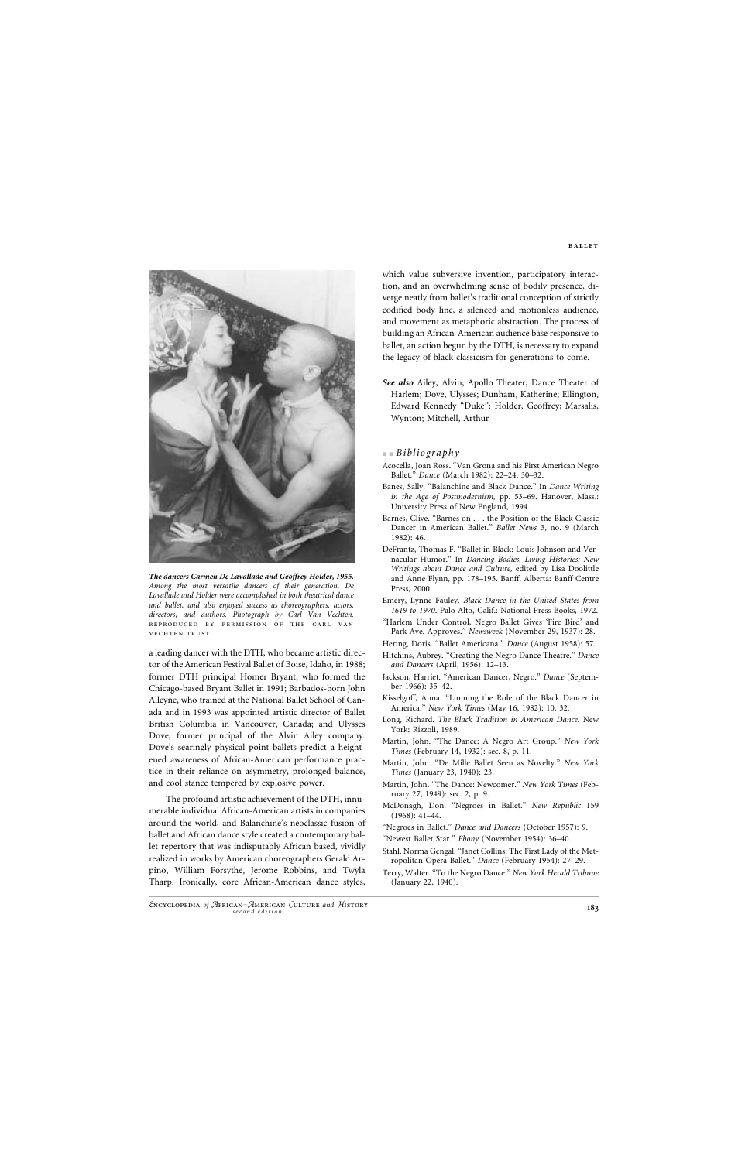

*The dancers Carmen De Lavallade and Geoffrey Holder, 1955. Among the most versatile dancers of their generation, De Lavallade and Holder were accomplished in both theatrical dance and ballet, and also enjoyed success as choreographers, actors, directors, and authors. Photograph by Carl Van Vechten.* reproduced by permission of the carl van vechten trust

a leading dancer with the DTH, who became artistic director of the American Festival Ballet of Boise, Idaho, in 1988; former DTH principal Homer Bryant, who formed the Chicago-based Bryant Ballet in 1991; Barbados-born John Alleyne, who trained at the National Ballet School of Canada and in 1993 was appointed artistic director of Ballet British Columbia in Vancouver, Canada; and Ulysses Dove, former principal of the Alvin Ailey company. Dove's searingly physical point ballets predict a heightened awareness of African-American performance practice in their reliance on asymmetry, prolonged balance, and cool stance tempered by explosive power.

The profound artistic achievement of the DTH, innumerable individual African-American artists in companies around the world, and Balanchine's neoclassic fusion of ballet and African dance style created a contemporary ballet repertory that was indisputably African based, vividly realized in works by American choreographers Gerald Arpino, William Forsythe, Jerome Robbins, and Twyla Tharp. Ironically, core African-American dance styles, which value subversive invention, participatory interaction, and an overwhelming sense of bodily presence, diverge neatly from ballet's traditional conception of strictly codified body line, a silenced and motionless audience, and movement as metaphoric abstraction. The process of building an African-American audience base responsive to ballet, an action begun by the DTH, is necessary to expand the legacy of black classicism for generations to come.

*See also* Ailey, Alvin; Apollo Theater; Dance Theater of Harlem; Dove, Ulysses; Dunham, Katherine; Ellington, Edward Kennedy "Duke"; Holder, Geoffrey; Marsalis, Wynton; Mitchell, Arthur

■ ■ *Bibliography*

- Acocella, Joan Ross. "Van Grona and his First American Negro Ballet." *Dance* (March 1982): 22–24, 30–32.
- Banes, Sally. "Balanchine and Black Dance." In *Dance Writing in the Age of Postmodernism,* pp. 53–69. Hanover, Mass.: University Press of New England, 1994.
- Barnes, Clive. "Barnes on . . . the Position of the Black Classic Dancer in American Ballet." *Ballet News* 3, no. 9 (March 1982): 46.
- DeFrantz, Thomas F. "Ballet in Black: Louis Johnson and Vernacular Humor." In *Dancing Bodies, Living Histories: New Writings about Dance and Culture,* edited by Lisa Doolittle and Anne Flynn, pp. 178–195. Banff, Alberta: Banff Centre Press, 2000.
- Emery, Lynne Fauley. *Black Dance in the United States from 1619 to 1970*. Palo Alto, Calif.: National Press Books, 1972.
- "Harlem Under Control, Negro Ballet Gives 'Fire Bird' and Park Ave. Approves." *Newsweek* (November 29, 1937): 28.
- Hering, Doris. "Ballet Americana." *Dance* (August 1958): 57.
- Hitchins, Aubrey. "Creating the Negro Dance Theatre." *Dance and Dancers* (April, 1956): 12–13.
- Jackson, Harriet. "American Dancer, Negro." *Dance* (September 1966): 35–42.
- Kisselgoff, Anna. "Limning the Role of the Black Dancer in America." *New York Times* (May 16, 1982): 10, 32.
- Long, Richard. *The Black Tradition in American Dance*. New York: Rizzoli, 1989.
- Martin, John. "The Dance: A Negro Art Group." *New York Times* (February 14, 1932): sec. 8, p. 11.
- Martin, John. "De Mille Ballet Seen as Novelty." *New York Times* (January 23, 1940): 23.
- Martin, John. "The Dance: Newcomer." *New York Times* (February 27, 1949): sec. 2, p. 9.
- McDonagh, Don. "Negroes in Ballet." *New Republic* 159 (1968): 41–44.
- "Negroes in Ballet." *Dance and Dancers* (October 1957): 9.
- "Newest Ballet Star." *Ebony* (November 1954): 36–40.
- Stahl, Norma Gengal. "Janet Collins: The First Lady of the Met-

ropolitan Opera Ballet." *Dance* (February 1954): 27–29. Terry, Walter. "To the Negro Dance." *New York Herald Tribune* (January 22, 1940).

#### **ballet**

*<sup>E</sup>*ncyclopedia *of <sup>A</sup>*frican*A*merican *<sup>C</sup>*ulture *and <sup>H</sup>*istory **<sup>183</sup>** *second edition*